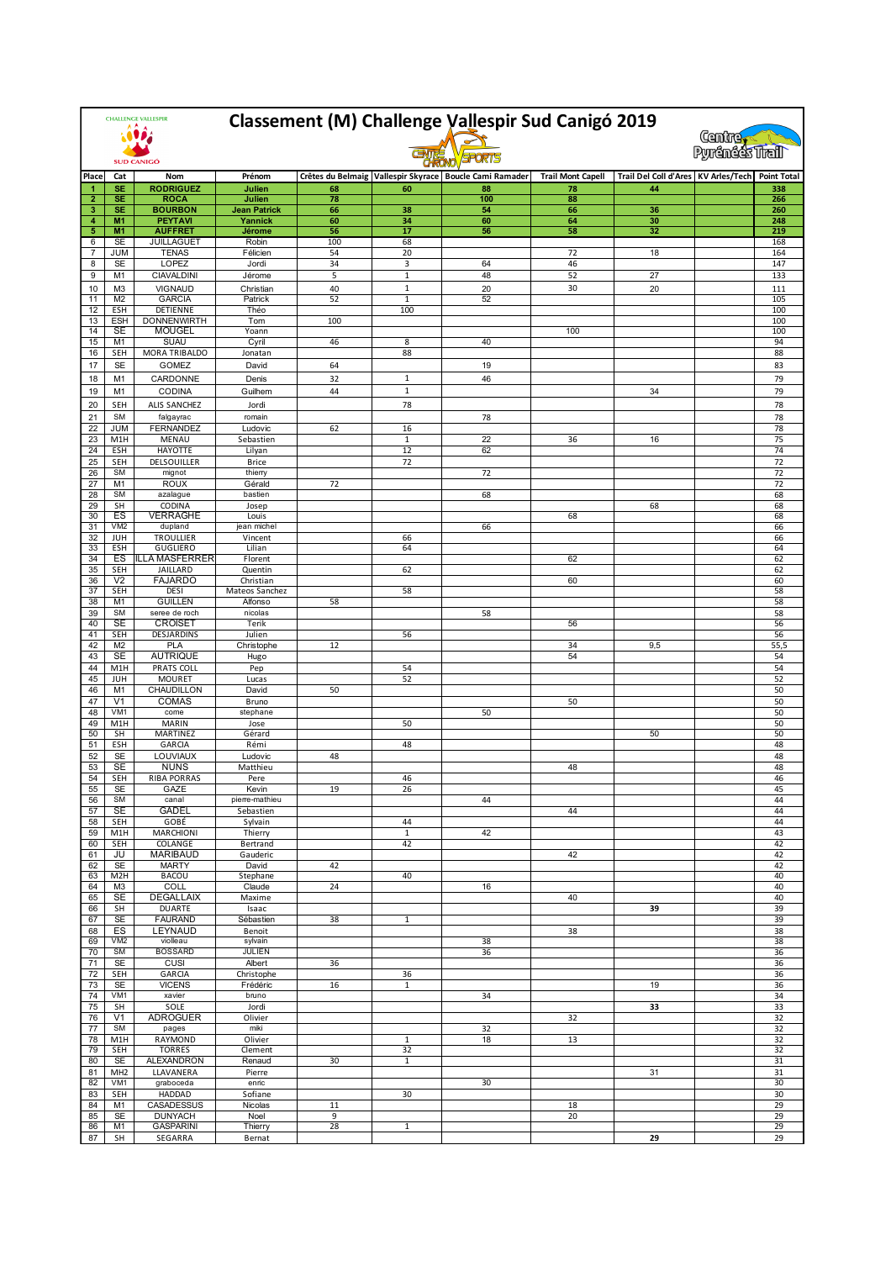| <b>CHALLENGE VALLESPIR</b> |                             | Classement (M) Challenge Vallespir Sud Canigó 2019<br>(Centre) |                                |                       |                    |                                                             |                          |                                     |  |                    |
|----------------------------|-----------------------------|----------------------------------------------------------------|--------------------------------|-----------------------|--------------------|-------------------------------------------------------------|--------------------------|-------------------------------------|--|--------------------|
|                            | <b>SUD CANIGÓ</b>           |                                                                |                                | <b>Pyrénéés Trail</b> |                    |                                                             |                          |                                     |  |                    |
| Place                      | Cat                         | Nom                                                            | Prénom                         |                       |                    | Crêtes du Belmaig   Vallespir Skyrace   Boucle Cami Ramader | <b>Trail Mont Capell</b> | Trail Del Coll d'Ares KV Arles/Tech |  | <b>Point Total</b> |
| 1                          | SE                          | <b>RODRIGUEZ</b>                                               | Julien                         | 68                    | 60                 | 88                                                          | 78                       | 44                                  |  | 338                |
| $\overline{2}$             | <b>SE</b>                   | <b>ROCA</b>                                                    | Julien                         | 78                    |                    | 100                                                         | 88                       |                                     |  | 266                |
| 3<br>4                     | SE<br>M1                    | <b>BOURBON</b><br><b>PEYTAVI</b>                               | <b>Jean Patrick</b><br>Yannick | 66<br>60              | 38<br>34           | 54<br>60                                                    | 66<br>64                 | 36<br>30                            |  | 260<br>248         |
| 5                          | M1                          | <b>AUFFRET</b>                                                 | Jérome                         | 56                    | 17                 | 56                                                          | 58                       | 32                                  |  | 219                |
| 6                          | <b>SE</b>                   | <b>JUILLAGUET</b>                                              | Robin                          | 100                   | 68                 |                                                             |                          |                                     |  | 168                |
| 7<br>8                     | JUM<br><b>SE</b>            | <b>TENAS</b><br>LOPEZ                                          | Félicien<br>Jordi              | 54<br>34              | 20<br>3            | 64                                                          | 72<br>46                 | 18                                  |  | 164<br>147         |
| 9                          | M1                          | CIAVALDINI                                                     | Jérome                         | 5                     | $\mathbf 1$        | 48                                                          | 52                       | 27                                  |  | 133                |
| 10                         | MЗ                          | <b>VIGNAUD</b>                                                 | Christian                      | 40                    | $1\,$              | 20                                                          | 30                       | 20                                  |  | 111                |
| 11                         | M <sub>2</sub>              | <b>GARCIA</b>                                                  | Patrick                        | 52                    | $\mathbf 1$        | 52                                                          |                          |                                     |  | 105                |
| 12<br>13                   | ESH<br><b>ESH</b>           | <b>DETIENNE</b><br><b>DONNENWIRTH</b>                          | Théo<br>Tom                    | 100                   | 100                |                                                             |                          |                                     |  | 100<br>100         |
| 14                         | <b>SE</b>                   | <b>MOUGEL</b>                                                  | Yoann                          |                       |                    |                                                             | 100                      |                                     |  | 100                |
| 15                         | M1                          | <b>SUAU</b>                                                    | Cyril                          | 46                    | 8                  | 40                                                          |                          |                                     |  | 94                 |
| 16                         | SEH                         | MORA TRIBALDO                                                  | Jonatan                        |                       | 88                 |                                                             |                          |                                     |  | 88                 |
| 17                         | <b>SE</b>                   | GOMEZ                                                          | David                          | 64                    |                    | 19                                                          |                          |                                     |  | 83                 |
| 18                         | M1                          | CARDONNE                                                       | Denis                          | 32                    | $1\,$              | 46                                                          |                          |                                     |  | 79                 |
| 19<br>20                   | M1<br>SEH                   | CODINA<br>ALIS SANCHEZ                                         | Guilhem<br>Jordi               | 44                    | $\mathbf{1}$<br>78 |                                                             |                          | 34                                  |  | 79<br>78           |
| 21                         | <b>SM</b>                   | falgayrac                                                      | romain                         |                       |                    | 78                                                          |                          |                                     |  | 78                 |
| 22                         | <b>JUM</b>                  | <b>FERNANDEZ</b>                                               | Ludovic                        | 62                    | 16                 |                                                             |                          |                                     |  | 78                 |
| 23                         | M1H                         | MENAU                                                          | Sebastien                      |                       | $\mathbf 1$        | 22                                                          | 36                       | 16                                  |  | 75                 |
| 24                         | ESH                         | <b>HAYOTTE</b>                                                 | Lilyan                         |                       | 12                 | 62                                                          |                          |                                     |  | 74                 |
| 25<br>26                   | SEH<br><b>SM</b>            | DELSOUILLER<br>mignot                                          | <b>Brice</b><br>thierry        |                       | 72                 | 72                                                          |                          |                                     |  | 72<br>72           |
| 27                         | M <sub>1</sub>              | <b>ROUX</b>                                                    | Gérald                         | 72                    |                    |                                                             |                          |                                     |  | 72                 |
| 28                         | <b>SM</b>                   | azalague                                                       | bastien                        |                       |                    | 68                                                          |                          |                                     |  | 68                 |
| 29                         | <b>SH</b>                   | CODINA                                                         | Josep                          |                       |                    |                                                             |                          | 68                                  |  | 68                 |
| 30<br>31                   | ES<br>VM2                   | <b>VERRAGHE</b><br>dupland                                     | Louis<br>jean michel           |                       |                    | 66                                                          | 68                       |                                     |  | 68<br>66           |
| 32                         | JUH                         | <b>TROULLIER</b>                                               | Vincent                        |                       | 66                 |                                                             |                          |                                     |  | 66                 |
| 33                         | <b>ESH</b>                  | <b>GUGLIERO</b>                                                | Lilian                         |                       | 64                 |                                                             |                          |                                     |  | 64                 |
| 34<br>35                   | ES<br>SEH                   | ILLA MASFERRER<br>JAILLARD                                     | Florent<br>Quentin             |                       | 62                 |                                                             | 62                       |                                     |  | 62<br>62           |
| 36                         | V <sub>2</sub>              | <b>FAJARDO</b>                                                 | Christian                      |                       |                    |                                                             | 60                       |                                     |  | 60                 |
| 37                         | SEH                         | <b>DESI</b>                                                    | Mateos Sanchez                 |                       | 58                 |                                                             |                          |                                     |  | 58                 |
| 38<br>39                   | M1<br><b>SM</b>             | <b>GUILLEN</b><br>seree de roch                                | Alfonso<br>nicolas             | 58                    |                    | 58                                                          |                          |                                     |  | 58<br>58           |
| 40                         | <b>SE</b>                   | <b>CROISET</b>                                                 | Terik                          |                       |                    |                                                             | 56                       |                                     |  | 56                 |
| 41                         | SEH                         | DESJARDINS                                                     | Julien                         |                       | 56                 |                                                             |                          |                                     |  | 56                 |
| 42                         | M <sub>2</sub>              | <b>PLA</b>                                                     | Christophe                     | 12                    |                    |                                                             | 34                       | 9,5                                 |  | 55,5               |
| 43<br>44                   | SE<br>M1H                   | <b>AUTRIQUE</b><br><b>PRATS COLL</b>                           | Hugo                           |                       | 54                 |                                                             | 54                       |                                     |  | 54<br>54           |
| 45                         | <b>JUH</b>                  | <b>MOURET</b>                                                  | Pep<br>Lucas                   |                       | 52                 |                                                             |                          |                                     |  | 52                 |
| 46                         | M1                          | CHAUDILLON                                                     | David                          | 50                    |                    |                                                             |                          |                                     |  | 50                 |
| 47                         | V1                          | COMAS                                                          | Bruno                          |                       |                    |                                                             | 50                       |                                     |  | 50                 |
| 48<br>49                   | VM1<br>M1H                  | come<br><b>MARIN</b>                                           | stephane<br>Jose               |                       | 50                 | 50                                                          |                          |                                     |  | 50<br>50           |
| 50                         | SH                          | MARTINEZ                                                       | Gérard                         |                       |                    |                                                             |                          | 50                                  |  | 50                 |
| 51                         | ESH                         | GARCIA                                                         | Rémi                           |                       | 48                 |                                                             |                          |                                     |  | 48                 |
| 52                         | <b>SE</b>                   | LOUVIAUX                                                       | Ludovic                        | 48                    |                    |                                                             |                          |                                     |  | 48                 |
| 53<br>54                   | <b>SE</b><br>SEH            | <b>NUNS</b><br>RIBA PORRAS                                     | Matthieu<br>Pere               |                       | 46                 |                                                             | 48                       |                                     |  | 48<br>46           |
| 55                         | SE                          | GAZE                                                           | Kevin                          | 19                    | 26                 |                                                             |                          |                                     |  | 45                 |
| 56                         | SM                          | canal                                                          | pierre-mathieu                 |                       |                    | 44                                                          |                          |                                     |  | 44                 |
| 57<br>58                   | SE<br>SEH                   | <b>GADEL</b><br>GOBÉ                                           | Sebastien                      |                       | 44                 |                                                             | 44                       |                                     |  | 44<br>44           |
| 59                         | M1H                         | <b>MARCHIONI</b>                                               | Sylvain<br>Thierry             |                       | $\mathbf{1}$       | 42                                                          |                          |                                     |  | 43                 |
| 60                         | SEH                         | COLANGE                                                        | Bertrand                       |                       | 42                 |                                                             |                          |                                     |  | 42                 |
| 61                         | JU                          | <b>MARIBAUD</b>                                                | Gauderic                       |                       |                    |                                                             | 42                       |                                     |  | 42                 |
| 62<br>63                   | <b>SE</b><br>M2H            | <b>MARTY</b><br>BACOU                                          | David<br>Stephane              | 42                    | 40                 |                                                             |                          |                                     |  | 42<br>40           |
| 64                         | M3                          | <b>COLL</b>                                                    | Claude                         | 24                    |                    | 16                                                          |                          |                                     |  | 40                 |
| 65                         | SE                          | <b>DEGALLAIX</b>                                               | Maxime                         |                       |                    |                                                             | 40                       |                                     |  | 40                 |
| 66<br>67                   | SH<br><b>SE</b>             | <b>DUARTE</b><br><b>FAURAND</b>                                | Isaac<br>Sébastien             | 38                    | $\mathbf{1}$       |                                                             |                          | 39                                  |  | 39<br>39           |
| 68                         | ES                          | LEYNAUD                                                        | Benoit                         |                       |                    |                                                             | 38                       |                                     |  | 38                 |
| 69                         | VM2                         | violleau                                                       | sylvain                        |                       |                    | 38                                                          |                          |                                     |  | 38                 |
| 70                         | SM                          | <b>BOSSARD</b>                                                 | JULIEN                         |                       |                    | 36                                                          |                          |                                     |  | 36                 |
| 71<br>72                   | SE<br>SEH                   | CUSI<br>GARCIA                                                 | Albert<br>Christophe           | 36                    | 36                 |                                                             |                          |                                     |  | 36<br>36           |
| 73                         | <b>SE</b>                   | <b>VICENS</b>                                                  | Frédéric                       | 16                    | $\mathbf{1}$       |                                                             |                          | 19                                  |  | 36                 |
| 74                         | VM1                         | xavier                                                         | bruno                          |                       |                    | 34                                                          |                          |                                     |  | 34                 |
| 75                         | SH                          | SOLE                                                           | Jordi                          |                       |                    |                                                             |                          | 33                                  |  | 33                 |
| 76<br>77                   | V <sub>1</sub><br><b>SM</b> | <b>ADROGUER</b><br>pages                                       | Olivier<br>miki                |                       |                    | 32                                                          | 32                       |                                     |  | 32<br>32           |
| 78                         | M1H                         | RAYMOND                                                        | Olivier                        |                       | 1                  | 18                                                          | 13                       |                                     |  | 32                 |
| 79                         | SEH                         | <b>TORRES</b>                                                  | Clement                        |                       | 32                 |                                                             |                          |                                     |  | 32                 |
| 80<br>81                   | SE<br>MH <sub>2</sub>       | ALEXANDRON<br>LLAVANERA                                        | Renaud<br>Pierre               | 30                    | $\mathbf{1}$       |                                                             |                          | 31                                  |  | 31<br>31           |
| 82                         | VM1                         | graboceda                                                      | enric                          |                       |                    | 30                                                          |                          |                                     |  | 30                 |
| 83                         | SEH                         | <b>HADDAD</b>                                                  | Sofiane                        |                       | 30                 |                                                             |                          |                                     |  | 30                 |
| 84                         | M1                          | CASADESSUS                                                     | Nicolas                        | 11                    |                    |                                                             | 18                       |                                     |  | 29                 |
| 85<br>86                   | SE<br>M1                    | <b>DUNYACH</b><br><b>GASPARINI</b>                             | Noel<br>Thierry                | 9<br>28               | $\mathbf{1}$       |                                                             | 20                       |                                     |  | 29<br>29           |
| 87                         | SH                          | SEGARRA                                                        | Bernat                         |                       |                    |                                                             |                          | 29                                  |  | 29                 |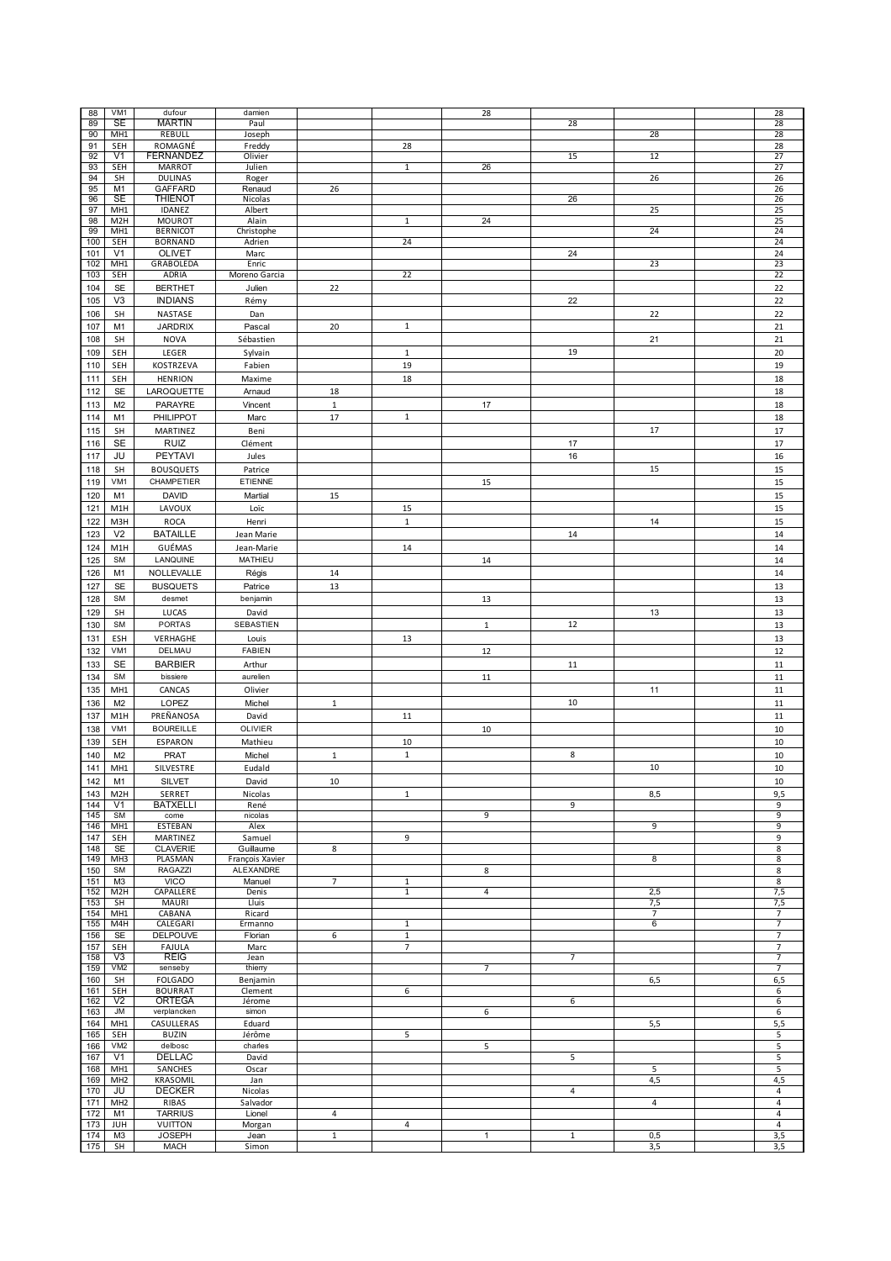| 88  | VM <sub>1</sub>  | dufour           | damien          |              |                | 28           |                |                | 28              |
|-----|------------------|------------------|-----------------|--------------|----------------|--------------|----------------|----------------|-----------------|
|     |                  |                  |                 |              |                |              |                |                |                 |
| 89  | SE               | <b>MARTIN</b>    | Paul            |              |                |              | 28             |                | 28              |
| 90  | MH <sub>1</sub>  | REBULL           | Joseph          |              |                |              |                | 28             | 28              |
| 91  | SEH              | ROMAGNÉ          | Freddy          |              | 28             |              |                |                | 28              |
| 92  | V <sub>1</sub>   | FERNANDEZ        | Olivier         |              |                |              | 15             | 12             | 27              |
|     |                  |                  |                 |              |                |              |                |                |                 |
| 93  | <b>SEH</b>       | MARROT           | Julien          |              | $\mathbf{1}$   | 26           |                |                | $\overline{27}$ |
| 94  | <b>SH</b>        | <b>DULINAS</b>   | Roger           |              |                |              |                | 26             | 26              |
| 95  | M1               | <b>GAFFARD</b>   | Renaud          | 26           |                |              |                |                | 26              |
|     |                  |                  |                 |              |                |              |                |                |                 |
| 96  | <b>SE</b>        | <b>THIENOT</b>   | Nicolas         |              |                |              | 26             |                | 26              |
| 97  | MH <sub>1</sub>  | IDANEZ           | Albert          |              |                |              |                | 25             | 25              |
| 98  | M <sub>2</sub> H | <b>MOUROT</b>    | Alain           |              | $\mathbf{1}$   | 24           |                |                | 25              |
| 99  | MH1              | <b>BERNICOT</b>  |                 |              |                |              |                | 24             | 24              |
|     |                  |                  | Christophe      |              |                |              |                |                |                 |
| 100 | SEH              | <b>BORNAND</b>   | Adrien          |              | 24             |              |                |                | 24              |
| 101 | V <sub>1</sub>   | <b>OLIVET</b>    | Marc            |              |                |              | 24             |                | 24              |
| 102 | MH <sub>1</sub>  | GRABOLEDA        | Enric           |              |                |              |                | 23             | 23              |
|     |                  |                  |                 |              | 22             |              |                |                |                 |
| 103 | SEH              | ADRIA            | Moreno Garcia   |              |                |              |                |                | 22              |
| 104 | SE               | <b>BERTHET</b>   | Julien          | 22           |                |              |                |                | 22              |
|     |                  |                  |                 |              |                |              |                |                |                 |
| 105 | V <sub>3</sub>   | <b>INDIANS</b>   | Rémy            |              |                |              | 22             |                | 22              |
| 106 | <b>SH</b>        | NASTASE          | Dan             |              |                |              |                | 22             | 22              |
|     |                  |                  |                 |              |                |              |                |                |                 |
| 107 | M1               | <b>JARDRIX</b>   | Pascal          | 20           | $\mathbf{1}$   |              |                |                | 21              |
| 108 | SH               | <b>NOVA</b>      | Sébastien       |              |                |              |                | 21             | 21              |
|     |                  |                  |                 |              |                |              |                |                |                 |
| 109 | SEH              | LEGER            | Sylvain         |              | $\mathbf{1}$   |              | 19             |                | 20              |
| 110 | SEH              | KOSTRZEVA        | Fabien          |              | 19             |              |                |                | 19              |
|     |                  |                  |                 |              |                |              |                |                |                 |
| 111 | SEH              | <b>HENRION</b>   | Maxime          |              | 18             |              |                |                | 18              |
| 112 | <b>SE</b>        | LAROQUETTE       | Arnaud          | 18           |                |              |                |                | 18              |
|     |                  |                  |                 |              |                |              |                |                |                 |
| 113 | M <sub>2</sub>   | PARAYRE          | Vincent         | $\,1\,$      |                | 17           |                |                | 18              |
| 114 | M1               | PHILIPPOT        | Marc            | 17           | $\mathbf{1}$   |              |                |                | 18              |
|     |                  |                  |                 |              |                |              |                |                |                 |
| 115 | <b>SH</b>        | MARTINEZ         | Beni            |              |                |              |                | 17             | 17              |
| 116 | <b>SE</b>        | <b>RUIZ</b>      | Clément         |              |                |              | 17             |                | 17              |
|     |                  |                  |                 |              |                |              |                |                |                 |
| 117 | JU               | PEYTAVI          | Jules           |              |                |              | 16             |                | 16              |
| 118 | SH               | <b>BOUSQUETS</b> | Patrice         |              |                |              |                | 15             | 15              |
|     |                  |                  |                 |              |                |              |                |                |                 |
| 119 | VM1              | CHAMPETIER       | ETIENNE         |              |                | 15           |                |                | 15              |
|     |                  |                  |                 |              |                |              |                |                |                 |
| 120 | M1               | <b>DAVID</b>     | Martial         | 15           |                |              |                |                | 15              |
| 121 | M1H              | LAVOUX           | Loïc            |              | 15             |              |                |                | 15              |
|     |                  |                  |                 |              |                |              |                |                |                 |
| 122 | M3H              | <b>ROCA</b>      | Henri           |              | $\mathbf 1$    |              |                | 14             | 15              |
| 123 | V <sub>2</sub>   | <b>BATAILLE</b>  | Jean Marie      |              |                |              | 14             |                | 14              |
|     |                  |                  |                 |              |                |              |                |                |                 |
| 124 | M1H              | GUÉMAS           | Jean-Marie      |              | 14             |              |                |                | 14              |
| 125 | <b>SM</b>        | LANQUINE         | MATHIEU         |              |                | 14           |                |                | 14              |
|     |                  |                  |                 |              |                |              |                |                |                 |
| 126 | M1               | NOLLEVALLE       | Régis           | 14           |                |              |                |                | 14              |
| 127 | <b>SE</b>        | <b>BUSQUETS</b>  | Patrice         | 13           |                |              |                |                | 13              |
|     |                  |                  |                 |              |                |              |                |                |                 |
| 128 | <b>SM</b>        | desmet           | benjamin        |              |                | 13           |                |                | 13              |
|     |                  | LUCAS            | David           |              |                |              |                |                |                 |
| 129 | SH               |                  |                 |              |                |              |                | 13             | 13              |
| 130 | <b>SM</b>        | <b>PORTAS</b>    | SEBASTIEN       |              |                | $\mathbf 1$  | 12             |                | 13              |
|     |                  |                  |                 |              |                |              |                |                |                 |
| 131 | ESH              | VERHAGHE         | Louis           |              | 13             |              |                |                | 13              |
| 132 | VM1              | DELMAU           | <b>FABIEN</b>   |              |                | 12           |                |                | 12              |
|     |                  |                  |                 |              |                |              |                |                |                 |
| 133 | SE               | <b>BARBIER</b>   | Arthur          |              |                |              | 11             |                | 11              |
| 134 | <b>SM</b>        | bissiere         | aurelien        |              |                | 11           |                |                | 11              |
|     |                  |                  |                 |              |                |              |                |                |                 |
| 135 | MH <sub>1</sub>  | CANCAS           | Olivier         |              |                |              |                | 11             | 11              |
| 136 | M <sub>2</sub>   | LOPEZ            | Michel          | $\mathbf{1}$ |                |              | 10             |                | $11\,$          |
|     |                  |                  |                 |              |                |              |                |                |                 |
| 137 | M1H              | PREÑANOSA        | David           |              | 11             |              |                |                | $11\,$          |
| 138 | VM <sub>1</sub>  | <b>BOUREILLE</b> | OLIVIER         |              |                | 10           |                |                | 10              |
|     |                  |                  |                 |              |                |              |                |                |                 |
| 139 | SEH              | <b>ESPARON</b>   | Mathieu         |              | 10             |              |                |                | 10              |
| 140 | M <sub>2</sub>   | <b>PRAT</b>      | Michel          | $\mathbf 1$  | $\mathbf 1$    |              | 8              |                | 10              |
|     |                  |                  |                 |              |                |              |                |                |                 |
| 141 | MH1              | SILVESTRE        | Eudald          |              |                |              |                | 10             | 10              |
| 142 | M1               | <b>SILVET</b>    | David           | 10           |                |              |                |                | 10              |
|     |                  |                  |                 |              |                |              |                |                |                 |
| 143 | M <sub>2</sub> H | SERRET           | Nicolas         |              | 1              |              |                | 8,5            | 9,5             |
| 144 | V <sub>1</sub>   | <b>BATXELLI</b>  | René            |              |                |              | 9              |                | 9               |
| 145 | <b>SM</b>        | come             | nicolas         |              |                | 9            |                |                | 9               |
| 146 | MH <sub>1</sub>  | <b>ESTEBAN</b>   | Alex            |              |                |              |                | 9              | 9               |
|     |                  |                  |                 |              |                |              |                |                |                 |
| 147 | SEH              | MARTINEZ         | Samuel          |              | 9              |              |                |                | 9               |
| 148 | <b>SE</b>        | <b>CLAVERIE</b>  | Guillaume       | 8            |                |              |                |                | 8               |
| 149 | MH <sub>3</sub>  | PLASMAN          | François Xavier |              |                |              |                | 8              | 8               |
| 150 | <b>SM</b>        | RAGAZZI          | ALEXANDRE       |              |                | 8            |                |                | $\bf 8$         |
|     |                  |                  |                 |              |                |              |                |                |                 |
| 151 | M3               | <b>VICO</b>      | Manuel          | 7            | $\mathbf{1}$   |              |                |                | 8               |
| 152 | M <sub>2</sub> H | CAPALLERE        | Denis           |              | $\mathbf{1}$   | 4            |                | 2,5            | 7,5             |
| 153 | SH               | <b>MAURI</b>     | Lluis           |              |                |              |                | 7,5            | 7,5             |
| 154 | MH1              | CABANA           | Ricard          |              |                |              |                | $\overline{7}$ | $\overline{7}$  |
|     |                  |                  |                 |              |                |              |                |                |                 |
| 155 | M4H              | CALEGARI         | Ermanno         |              | $\mathbf{1}$   |              |                | 6              | $\overline{7}$  |
| 156 | SE               | <b>DELPOUVE</b>  | Florian         | 6            | $\mathbf{1}$   |              |                |                | $\overline{7}$  |
| 157 | SEH              | FAJULA           | Marc            |              | $\overline{7}$ |              |                |                | $\overline{7}$  |
| 158 | V3               | <b>REIG</b>      |                 |              |                |              | $\overline{7}$ |                | $\overline{7}$  |
|     |                  |                  | Jean            |              |                |              |                |                |                 |
| 159 | VM2              | senseby          | thierry         |              |                | 7            |                |                | $\overline{7}$  |
| 160 | <b>SH</b>        | <b>FOLGADO</b>   | Benjamin        |              |                |              |                | 6,5            | 6,5             |
| 161 | SEH              | <b>BOURRAT</b>   | Clement         |              | 6              |              |                |                | 6               |
|     |                  |                  |                 |              |                |              |                |                |                 |
| 162 | V <sub>2</sub>   | <b>ORTEGA</b>    | Jérome          |              |                |              | 6              |                | 6               |
| 163 | JM               | verplancken      | simon           |              |                | 6            |                |                | 6               |
| 164 | MH1              | CASULLERAS       | Eduard          |              |                |              |                | 5,5            | 5,5             |
|     |                  |                  |                 |              |                |              |                |                |                 |
| 165 | SEH              | <b>BUZIN</b>     | Jérôme          |              | 5              |              |                |                | 5               |
| 166 | VM2              | delbosc          | charles         |              |                | 5            |                |                | 5               |
| 167 | V <sub>1</sub>   | DELLAC           | David           |              |                |              | 5              |                | 5               |
|     |                  |                  |                 |              |                |              |                |                |                 |
| 168 | MH1              | SANCHES          | Oscar           |              |                |              |                | 5              | 5               |
| 169 | MH <sub>2</sub>  | KRASOMIL         | Jan             |              |                |              |                | 4,5            | 4,5             |
| 170 | JU               | <b>DECKER</b>    | Nicolas         |              |                |              | 4              |                | 4               |
|     |                  |                  |                 |              |                |              |                |                |                 |
| 171 | MH <sub>2</sub>  | RIBAS            | Salvador        |              |                |              |                | 4              | 4               |
| 172 | M1               | <b>TARRIUS</b>   | Lionel          | 4            |                |              |                |                | 4               |
| 173 | JUH              | VUITTON          | Morgan          |              | 4              |              |                |                | 4               |
|     |                  |                  |                 |              |                |              |                |                |                 |
| 174 | M3               | <b>JOSEPH</b>    | Jean            | $\mathbf{1}$ |                | $\mathbf{1}$ | $\mathbf{1}$   | 0,5            | 3,5             |
| 175 | SH               | MACH             | Simon           |              |                |              |                | 3,5            | 3,5             |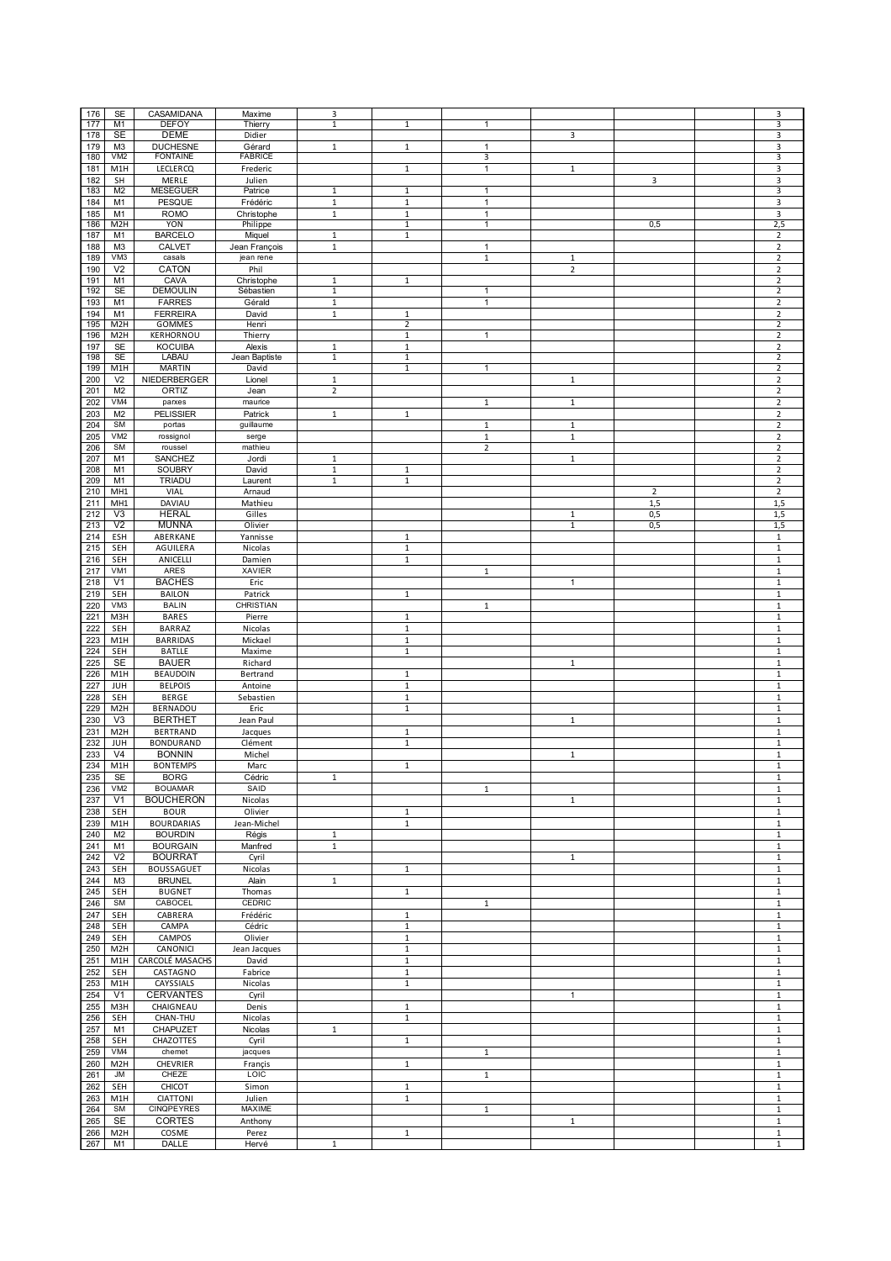| 176 | <b>SE</b>        | CASAMIDANA        | Maxime         | 3              |              |                |                |                | 3              |
|-----|------------------|-------------------|----------------|----------------|--------------|----------------|----------------|----------------|----------------|
| 177 | M1               | <b>DEFOY</b>      | Thierry        | $\overline{1}$ | $\mathbf 1$  | $\mathbf{1}$   |                |                | 3              |
| 178 | SE               | <b>DEME</b>       | Didier         |                |              |                | 3              |                | 3              |
|     |                  |                   |                |                |              |                |                |                |                |
| 179 | M <sub>3</sub>   | <b>DUCHESNE</b>   | Gérard         | $\mathbf 1$    | $\,1\,$      | $\mathbf{1}$   |                |                | 3              |
| 180 | VM <sub>2</sub>  | <b>FONTAINE</b>   | <b>FABRICE</b> |                |              | 3              |                |                | 3              |
| 181 | M1H              | LECLERCQ          | Frederic       |                | $\mathbf 1$  | $\mathbf{1}$   | $\mathbf 1$    |                | 3              |
|     |                  |                   |                |                |              |                |                |                |                |
| 182 | SH               | MERLE             | Julien         |                |              |                |                | 3              | 3              |
| 183 | M <sub>2</sub>   | <b>MESEGUER</b>   | Patrice        | $1\,$          | $\,1\,$      | $\mathbf{1}$   |                |                | 3              |
| 184 | M1               | PESQUE            | Frédéric       | $\mathbf 1$    | $\mathbf 1$  | $\mathbf{1}$   |                |                | 3              |
|     |                  |                   |                |                |              |                |                |                |                |
| 185 | M1               | <b>ROMO</b>       | Christophe     | $\,1\,$        | $\,1\,$      | $\mathbf{1}$   |                |                | 3              |
| 186 | M2H              | <b>YON</b>        | Philippe       |                | $\mathbf{1}$ | $\mathbf{1}$   |                | 0,5            | 2,5            |
|     |                  |                   |                |                |              |                |                |                |                |
| 187 | M1               | <b>BARCELO</b>    | Miquel         | 1              | 1            |                |                |                | 2              |
| 188 | M <sub>3</sub>   | <b>CALVET</b>     | Jean François  | $\mathbf{1}$   |              | $\mathbf{1}$   |                |                | $\overline{2}$ |
|     | VM3              |                   |                |                |              |                |                |                |                |
| 189 |                  | casals            | jean rene      |                |              | $\mathbf{1}$   | $\mathbf{1}$   |                | $\overline{2}$ |
| 190 | V <sub>2</sub>   | CATON             | Phil           |                |              |                | $\overline{2}$ |                | $\mathbf 2$    |
| 191 | M1               | CAVA              | Christophe     | $\mathbf{1}$   | $\mathbf{1}$ |                |                |                | $\overline{2}$ |
|     |                  |                   |                |                |              |                |                |                |                |
| 192 | <b>SE</b>        | <b>DEMOULIN</b>   | Sébastien      | $\mathbf{1}$   |              | 1              |                |                | $\overline{2}$ |
| 193 | M1               | <b>FARRES</b>     | Gérald         | $\mathbf 1$    |              | $\mathbf{1}$   |                |                | $\overline{2}$ |
| 194 | M1               | <b>FERREIRA</b>   | David          | $\mathbf{1}$   | $\mathbf{1}$ |                |                |                | $\overline{2}$ |
|     |                  |                   |                |                |              |                |                |                |                |
| 195 | M <sub>2</sub> H | GOMMES            | Henri          |                | 2            |                |                |                | 2              |
| 196 | M <sub>2</sub> H | KERHORNOU         | Thierry        |                | $\mathbf{1}$ | $\mathbf{1}$   |                |                | $\mathbf 2$    |
|     |                  |                   |                |                |              |                |                |                |                |
| 197 | <b>SE</b>        | <b>KOCUIBA</b>    | Alexis         | $1\,$          | $\mathbf{1}$ |                |                |                | $\overline{2}$ |
| 198 | <b>SE</b>        | <b>LABAU</b>      | Jean Baptiste  | $\,1\,$        | $\mathbf 1$  |                |                |                | $\overline{2}$ |
| 199 | M1H              | <b>MARTIN</b>     | David          |                | $\mathbf{1}$ | 1              |                |                | $\overline{2}$ |
|     |                  |                   |                |                |              |                |                |                |                |
| 200 | V <sub>2</sub>   | NIEDERBERGER      | Lionel         | $\mathbf{1}$   |              |                | $\mathbf{1}$   |                | $\mathbf 2$    |
| 201 | M <sub>2</sub>   | ORTIZ             | Jean           | $\mathbf 2$    |              |                |                |                | $\mathbf 2$    |
| 202 | VM4              | parxes            | maurice        |                |              | $\mathbf 1$    | $\,1$          |                | $\mathbf 2$    |
|     |                  |                   |                |                |              |                |                |                |                |
| 203 | M <sub>2</sub>   | <b>PELISSIER</b>  | Patrick        | $\mathbf 1$    | $\mathbf{1}$ |                |                |                | $\mathbf 2$    |
| 204 | <b>SM</b>        | portas            | guillaume      |                |              | $\mathbf 1$    | $\mathbf 1$    |                | $\mathbf 2$    |
|     |                  |                   |                |                |              |                |                |                |                |
| 205 | VM <sub>2</sub>  | rossignol         | serge          |                |              | $\mathbf{1}$   | $\mathbf{1}$   |                | $\overline{2}$ |
| 206 | <b>SM</b>        | roussel           | mathieu        |                |              | $\overline{2}$ |                |                | $\mathbf 2$    |
| 207 | M1               | SANCHEZ           | Jordi          | 1              |              |                | $\mathbf{1}$   |                | $\mathbf 2$    |
|     |                  |                   |                |                |              |                |                |                |                |
| 208 | M <sub>1</sub>   | <b>SOUBRY</b>     | David          | $\mathbf 1$    | $\mathbf{1}$ |                |                |                | $\overline{2}$ |
| 209 | M1               | <b>TRIADU</b>     | Laurent        | $\mathbf{1}$   | $\mathbf{1}$ |                |                |                | $\overline{2}$ |
|     |                  |                   |                |                |              |                |                |                |                |
| 210 | MH <sub>1</sub>  | VIAL              | Arnaud         |                |              |                |                | $\overline{2}$ | $\mathbf 2$    |
| 211 | MH1              | DAVIAU            | Mathieu        |                |              |                |                | 1,5            | 1,5            |
| 212 | V <sub>3</sub>   | <b>HERAL</b>      | Gilles         |                |              |                | $\,1\,$        | 0,5            | 1,5            |
|     |                  |                   |                |                |              |                |                |                |                |
| 213 | V <sub>2</sub>   | <b>MUNNA</b>      | Olivier        |                |              |                | $\mathbf{1}$   | 0,5            | 1,5            |
| 214 | ESH              | ABERKANE          | Yannisse       |                | $\mathbf 1$  |                |                |                | $\mathbf 1$    |
|     |                  |                   |                |                |              |                |                |                |                |
| 215 | SEH              | AGUILERA          | Nicolas        |                | $\mathbf 1$  |                |                |                | $\mathbf 1$    |
| 216 | SEH              | ANICELLI          | Damien         |                | $\mathbf 1$  |                |                |                | $\,1\,$        |
| 217 | VM1              | ARES              | XAVIER         |                |              | $\mathbf{1}$   |                |                | 1              |
|     |                  |                   |                |                |              |                |                |                |                |
| 218 | V <sub>1</sub>   | <b>BACHES</b>     | Eric           |                |              |                | 1              |                | $\mathbf 1$    |
| 219 | SEH              | <b>BAILON</b>     | Patrick        |                | $\mathbf{1}$ |                |                |                | $\mathbf 1$    |
|     | VM3              | <b>BALIN</b>      | CHRISTIAN      |                |              |                |                |                |                |
| 220 |                  |                   |                |                |              | $\mathbf{1}$   |                |                | $\mathbf{1}$   |
| 221 | M3H              | <b>BARES</b>      | Pierre         |                | $\mathbf{1}$ |                |                |                | $\mathbf{1}$   |
| 222 | SEH              | <b>BARRAZ</b>     | Nicolas        |                | $\mathbf{1}$ |                |                |                | $\mathbf{1}$   |
|     |                  |                   |                |                |              |                |                |                |                |
| 223 | M1H              | <b>BARRIDAS</b>   | Mickael        |                | $\mathbf{1}$ |                |                |                | $\mathbf{1}$   |
| 224 | SEH              | <b>BATLLE</b>     | Maxime         |                | $\mathbf 1$  |                |                |                | $\,1\,$        |
|     |                  |                   |                |                |              |                |                |                |                |
| 225 | SE               | <b>BAUER</b>      | Richard        |                |              |                | $\,1\,$        |                | $\,1\,$        |
| 226 | M1H              | <b>BEAUDOIN</b>   | Bertrand       |                | 1            |                |                |                | $\mathbf 1$    |
|     |                  |                   |                |                |              |                |                |                |                |
| 227 | JUH              | <b>BELPOIS</b>    | Antoine        |                | $\mathbf 1$  |                |                |                | $\,1\,$        |
| 228 | SEH              | <b>BERGE</b>      | Sebastien      |                | $\mathbf 1$  |                |                |                | $\,1\,$        |
| 229 | M <sub>2</sub> H | BERNADOU          | Eric           |                | $\mathbf 1$  |                |                |                | $\mathbf 1$    |
|     |                  |                   |                |                |              |                |                |                |                |
| 230 | V3               | <b>BERTHET</b>    | Jean Paul      |                |              |                | $\mathbf{1}$   |                | $\mathbf{1}$   |
| 231 | M <sub>2</sub> H | <b>BERTRAND</b>   | Jacques        |                | $\mathbf{1}$ |                |                |                | $\mathbf{1}$   |
|     |                  |                   |                |                |              |                |                |                |                |
| 232 | JUH              | <b>BONDURAND</b>  | Clément        |                | $\mathbf{1}$ |                |                |                | $\mathbf{1}$   |
| 233 | V <sub>4</sub>   | <b>BONNIN</b>     | Michel         |                |              |                | $\mathbf{1}$   |                | $\mathbf 1$    |
| 234 | M <sub>1</sub> H | <b>BONTEMPS</b>   | Marc           |                | $\mathbf 1$  |                |                |                | $\,1\,$        |
|     |                  |                   |                |                |              |                |                |                |                |
| 235 | SE               | <b>BORG</b>       | Cedric         |                |              |                |                |                |                |
| 236 | VM <sub>2</sub>  | <b>BOUAMAR</b>    | SAID           |                |              | $\mathbf{1}$   |                |                | $\,1\,$        |
|     |                  |                   |                |                |              |                |                |                |                |
| 237 | V <sub>1</sub>   | <b>BOUCHERON</b>  | Nicolas        |                |              |                | $\mathbf{1}$   |                | $\mathbf 1$    |
| 238 | SEH              | <b>BOUR</b>       | Olivier        |                | $\mathbf{1}$ |                |                |                | $\mathbf{1}$   |
| 239 | M1H              | <b>BOURDARIAS</b> | Jean-Michel    |                | $\mathbf{1}$ |                |                |                | $\mathbf 1$    |
|     |                  |                   |                |                |              |                |                |                |                |
| 240 | M <sub>2</sub>   | <b>BOURDIN</b>    | Régis          | $\mathbf{1}$   |              |                |                |                | $\mathbf{1}$   |
| 241 | M1               | <b>BOURGAIN</b>   | Manfred        | $\mathbf{1}$   |              |                |                |                | $\mathbf{1}$   |
|     |                  |                   |                |                |              |                |                |                |                |
| 242 | V <sub>2</sub>   | <b>BOURRAT</b>    | Cyril          |                |              |                | $\mathbf{1}$   |                | $\mathbf{1}$   |
| 243 | SEH              | <b>BOUSSAGUET</b> | Nicolas        |                | $\mathbf{1}$ |                |                |                | $\mathbf 1$    |
| 244 | M3               | <b>BRUNEL</b>     | Alain          | $\mathbf 1$    |              |                |                |                | $\mathbf 1$    |
|     |                  |                   |                |                |              |                |                |                |                |
| 245 | SEH              | <b>BUGNET</b>     | Thomas         |                | $\mathbf{1}$ |                |                |                | $\mathbf 1$    |
| 246 | SM               | CABOCEL           | <b>CEDRIC</b>  |                |              | $\mathbf{1}$   |                |                | $\,1\,$        |
|     |                  |                   |                |                |              |                |                |                |                |
| 247 | SEH              | CABRERA           | Frédéric       |                | $\mathbf 1$  |                |                |                | $\mathbf 1$    |
| 248 | SEH              | CAMPA             | Cédric         |                | $\mathbf{1}$ |                |                |                | $\mathbf 1$    |
| 249 | SEH              | CAMPOS            | Olivier        |                | $\mathbf{1}$ |                |                |                | $\mathbf 1$    |
|     |                  |                   |                |                |              |                |                |                |                |
| 250 | M2H              | CANONICI          | Jean Jacques   |                | $\mathbf{1}$ |                |                |                | $\mathbf 1$    |
| 251 | M1H              | CARCOLÉ MASACHS   | David          |                | $\mathbf{1}$ |                |                |                | $\mathbf{1}$   |
|     |                  |                   |                |                | $\mathbf{1}$ |                |                |                |                |
| 252 | SEH              | CASTAGNO          | Fabrice        |                |              |                |                |                | $\mathbf{1}$   |
| 253 | M1H              | CAYSSIALS         | Nicolas        |                | $\mathbf 1$  |                |                |                | $\mathbf 1$    |
| 254 | V <sub>1</sub>   | <b>CERVANTES</b>  | Cyril          |                |              |                | $\mathbf{1}$   |                | $\mathbf 1$    |
|     |                  |                   |                |                |              |                |                |                |                |
| 255 | M3H              | CHAIGNEAU         | Denis          |                | $\mathbf 1$  |                |                |                | $\mathbf 1$    |
| 256 | SEH              | CHAN-THU          | Nicolas        |                | $\mathbf{1}$ |                |                |                | $\mathbf 1$    |
|     |                  |                   |                |                |              |                |                |                |                |
| 257 | M1               | CHAPUZET          | Nicolas        | $\mathbf{1}$   |              |                |                |                | $\,1\,$        |
| 258 | SEH              | CHAZOTTES         | Cyril          |                | $\mathbf{1}$ |                |                |                | $\mathbf 1$    |
| 259 | VM4              | chemet            | jacques        |                |              | $\mathbf{1}$   |                |                | $\mathbf{1}$   |
|     |                  |                   |                |                |              |                |                |                |                |
| 260 | M <sub>2</sub> H | CHEVRIER          | Françis        |                | $\mathbf{1}$ |                |                |                | $\mathbf{1}$   |
| 261 | JM               | CHEZE             | LOIC           |                |              | $\mathbf{1}$   |                |                | $\mathbf{1}$   |
|     |                  |                   |                |                |              |                |                |                |                |
| 262 | SEH              | <b>CHICOT</b>     | Simon          |                | $\mathbf{1}$ |                |                |                | $\mathbf{1}$   |
| 263 | M1H              | CIATTONI          | Julien         |                | $\mathbf{1}$ |                |                |                | $\mathbf 1$    |
| 264 | SM               | <b>CINQPEYRES</b> | MAXIME         |                |              | $\mathbf{1}$   |                |                | $\mathbf 1$    |
|     |                  |                   |                |                |              |                |                |                |                |
| 265 | SE               | CORTES            | Anthony        |                |              |                | 1              |                | $\,1\,$        |
| 266 | M <sub>2</sub> H | COSME             | Perez          |                | $\mathbf{1}$ |                |                |                | $\mathbf 1$    |
|     | M1               | DALLE             | Hervé          | $\,1\,$        |              |                |                |                | $\mathbf 1$    |
| 267 |                  |                   |                |                |              |                |                |                |                |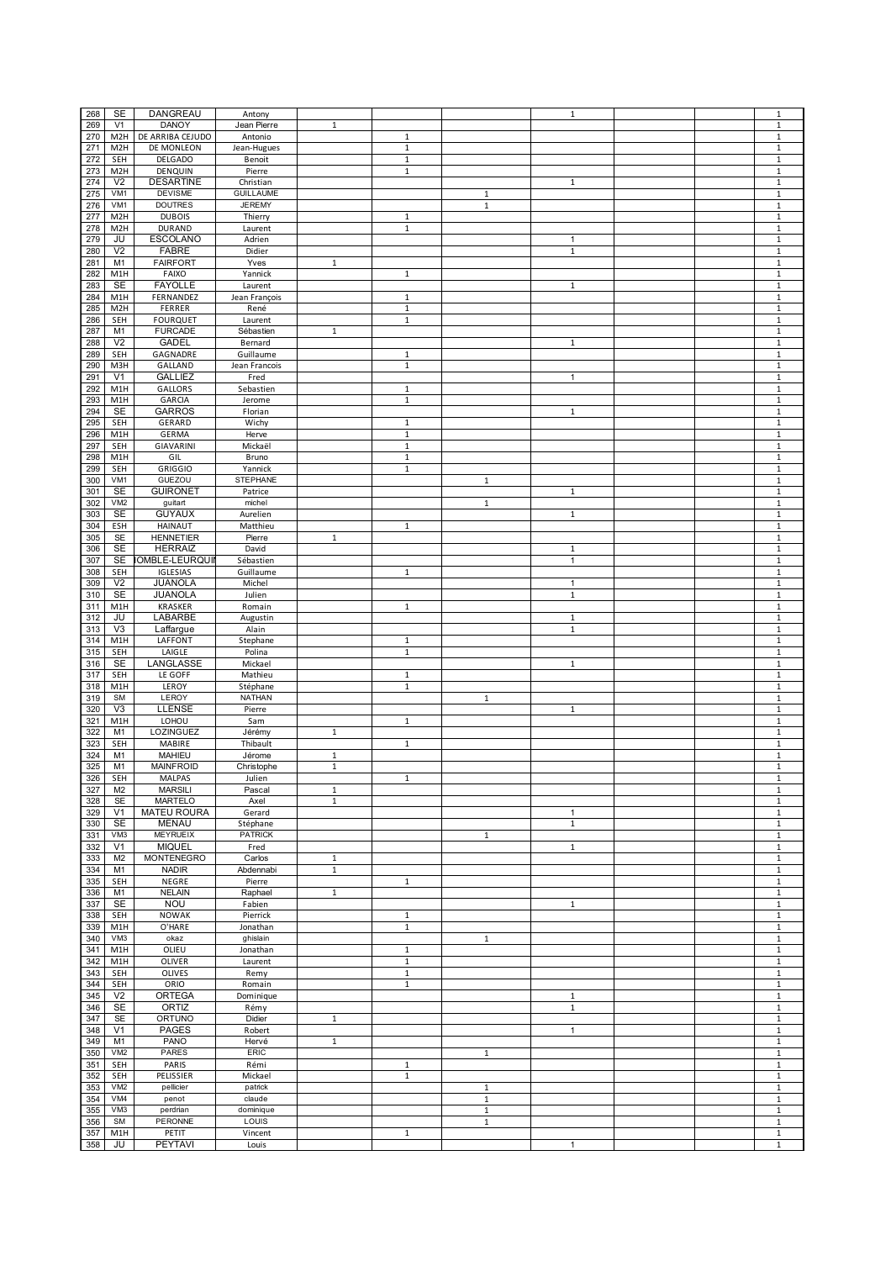| 268 | <b>SE</b>        | DANGREAU               | Antony           |              |              |              | $\mathbf{1}$ |  | $\mathbf 1$  |
|-----|------------------|------------------------|------------------|--------------|--------------|--------------|--------------|--|--------------|
| 269 | V <sub>1</sub>   | <b>DANOY</b>           | Jean Pierre      | $\,1\,$      |              |              |              |  | $\mathbf 1$  |
|     |                  | DE ARRIBA CEJUDO       |                  |              |              |              |              |  |              |
| 270 | M <sub>2</sub> H |                        | Antonio          |              | $\mathbf{1}$ |              |              |  | $\mathbf 1$  |
| 271 | M <sub>2</sub> H | DE MONLEON             | Jean-Hugues      |              | $\mathbf 1$  |              |              |  | $\mathbf 1$  |
| 272 | SEH              | <b>DELGADO</b>         | Benoit           |              | $\mathbf{1}$ |              |              |  | $\mathbf 1$  |
|     |                  |                        |                  |              | $\mathbf{1}$ |              |              |  |              |
| 273 | M <sub>2</sub> H | DENQUIN                | Pierre           |              |              |              |              |  | $\mathbf{1}$ |
| 274 | V <sub>2</sub>   | <b>DESARTINE</b>       | Christian        |              |              |              | $\mathbf{1}$ |  | $\mathbf 1$  |
| 275 | VM1              | <b>DEVISME</b>         | <b>GUILLAUME</b> |              |              | $\mathbf 1$  |              |  | $\mathbf 1$  |
|     |                  |                        |                  |              |              |              |              |  |              |
| 276 | VM1              | <b>DOUTRES</b>         | <b>JEREMY</b>    |              |              | $\mathbf 1$  |              |  | $\mathbf 1$  |
| 277 | M <sub>2</sub> H | <b>DUBOIS</b>          | Thierry          |              | $\mathbf{1}$ |              |              |  | $\mathbf 1$  |
| 278 | M <sub>2</sub> H | <b>DURAND</b>          | Laurent          |              | $\mathbf 1$  |              |              |  | $\mathbf 1$  |
|     |                  |                        |                  |              |              |              |              |  |              |
| 279 | JU               | <b>ESCOLANO</b>        | Adrien           |              |              |              | $\mathbf{1}$ |  | $\mathbf 1$  |
| 280 | V <sub>2</sub>   | <b>FABRE</b>           | Didier           |              |              |              | $\,1\,$      |  | $\mathbf 1$  |
|     |                  | <b>FAIRFORT</b>        |                  |              |              |              |              |  |              |
| 281 | M1               |                        | Yves             | $\mathbf{1}$ |              |              |              |  | $\mathbf 1$  |
| 282 | M1H              | FAIXO                  | Yannick          |              | $\mathbf{1}$ |              |              |  | $\mathbf{1}$ |
| 283 | <b>SE</b>        | <b>FAYOLLE</b>         | Laurent          |              |              |              | $\mathbf{1}$ |  | $\mathbf 1$  |
|     |                  |                        |                  |              |              |              |              |  |              |
| 284 | M1H              | FERNANDEZ              | Jean François    |              | $\mathbf 1$  |              |              |  | $\mathbf 1$  |
| 285 | M <sub>2</sub> H | FERRER                 | René             |              | $\mathbf 1$  |              |              |  | $\mathbf 1$  |
| 286 |                  | <b>FOURQUET</b>        |                  |              |              |              |              |  |              |
|     | SEH              |                        | Laurent          |              | $\,1\,$      |              |              |  | $\,1\,$      |
| 287 | M1               | <b>FURCADE</b>         | Sébastien        | $\mathbf 1$  |              |              |              |  | $\mathbf 1$  |
| 288 | V <sub>2</sub>   | <b>GADEL</b>           | Bernard          |              |              |              | $\mathbf{1}$ |  | $\,1\,$      |
|     |                  |                        |                  |              |              |              |              |  |              |
| 289 | SEH              | GAGNADRE               | Guillaume        |              | $\mathbf 1$  |              |              |  | $\mathbf 1$  |
| 290 | M3H              | GALLAND                | Jean Francois    |              | $\mathbf{1}$ |              |              |  | $\mathbf 1$  |
| 291 | V <sub>1</sub>   | <b>GALLIEZ</b>         | Fred             |              |              |              | $\mathbf{1}$ |  | $\mathbf 1$  |
|     |                  |                        |                  |              |              |              |              |  |              |
| 292 | M1H              | <b>GALLORS</b>         | Sebastien        |              | $\mathbf{1}$ |              |              |  | $\mathbf{1}$ |
| 293 | M1H              | GARCIA                 | Jerome           |              | $\mathbf{1}$ |              |              |  | $\mathbf{1}$ |
| 294 | <b>SE</b>        | <b>GARROS</b>          | Florian          |              |              |              | $\mathbf{1}$ |  | $\,1\,$      |
|     |                  |                        |                  |              |              |              |              |  |              |
| 295 | SEH              | GERARD                 | Wichy            |              | $\mathbf{1}$ |              |              |  | $\mathbf 1$  |
| 296 | M1H              | <b>GERMA</b>           | Herve            |              | $\mathbf 1$  |              |              |  | $\mathbf 1$  |
| 297 |                  | GIAVARINI              | Mickaël          |              | $1\,$        |              |              |  |              |
|     | <b>SEH</b>       |                        |                  |              |              |              |              |  | $\mathbf{1}$ |
| 298 | M1H              | GIL                    | Bruno            |              | $\mathbf 1$  |              |              |  | $\mathbf 1$  |
| 299 | SEH              | <b>GRIGGIO</b>         | Yannick          |              | $\,1\,$      |              |              |  | $\mathbf 1$  |
|     | VM1              | GUEZOU                 | <b>STEPHANE</b>  |              |              | $\mathbf 1$  |              |  | $\mathbf 1$  |
| 300 |                  |                        |                  |              |              |              |              |  |              |
| 301 | <b>SE</b>        | <b>GUIRONET</b>        | Patrice          |              |              |              | $\mathbf{1}$ |  | $\mathbf{1}$ |
| 302 | VM2              | guitart                | michel           |              |              | $\mathbf{1}$ |              |  | $\mathbf{1}$ |
|     |                  |                        |                  |              |              |              |              |  |              |
| 303 | <b>SE</b>        | <b>GUYAUX</b>          | Aurelien         |              |              |              | $1\,$        |  | $\mathbf 1$  |
| 304 | ESH              | <b>HAINAUT</b>         | Matthieu         |              | $\mathbf 1$  |              |              |  | $\mathbf 1$  |
|     |                  |                        |                  |              |              |              |              |  |              |
| 305 | SE               | <b>HENNETIER</b>       | Pierre           | $\mathbf 1$  |              |              |              |  | $\,1\,$      |
| 306 | <b>SE</b>        | <b>HERRAIZ</b>         | David            |              |              |              | $\mathbf{1}$ |  | $\mathbf 1$  |
| 307 | <b>SE</b>        | <b>IOMBLE-LEURQUII</b> | Sébastien        |              |              |              | $\mathbf{1}$ |  | $\mathbf 1$  |
|     |                  |                        |                  |              |              |              |              |  |              |
| 308 | SEH              | IGLESIAS               | Guillaume        |              | $\,1\,$      |              |              |  | $\mathbf 1$  |
| 309 | V <sub>2</sub>   | JUANOLA                | Michel           |              |              |              | $\mathbf{1}$ |  | $\mathbf 1$  |
| 310 | <b>SE</b>        | JUANOLA                | Julien           |              |              |              | $\mathbf{1}$ |  | $\mathbf 1$  |
|     |                  |                        |                  |              |              |              |              |  |              |
| 311 | M1H              | <b>KRASKER</b>         | Romain           |              | $\mathbf{1}$ |              |              |  | $\mathbf{1}$ |
| 312 | JU               | LABARBE                | Augustin         |              |              |              | $\mathbf{1}$ |  | $\mathbf{1}$ |
| 313 | V <sub>3</sub>   | Laffargue              | Alain            |              |              |              | $\mathbf{1}$ |  | $\mathbf 1$  |
|     |                  |                        |                  |              |              |              |              |  |              |
| 314 | M1H              | LAFFONT                | Stephane         |              | $\mathbf{1}$ |              |              |  | $\mathbf 1$  |
| 315 | SEH              | LAIGLE                 | Polina           |              | $\,1\,$      |              |              |  | $\,1\,$      |
|     |                  |                        |                  |              |              |              |              |  |              |
| 316 | <b>SE</b>        | LANGLASSE              | Mickael          |              |              |              | $\mathbf{1}$ |  | $\mathbf 1$  |
| 317 | SEH              | LE GOFF                | Mathieu          |              | 1            |              |              |  | $\mathbf 1$  |
| 318 | M1H              | LEROY                  | Stéphane         |              | $\mathbf{1}$ |              |              |  | $\mathbf 1$  |
|     |                  |                        | <b>NATHAN</b>    |              |              |              |              |  |              |
| 319 | SM               | LEROY                  |                  |              |              | $\mathbf{1}$ |              |  | $\mathbf 1$  |
| 320 | $\sqrt{3}$       | LLENSE                 | Pierre           |              |              |              | $\mathbf{1}$ |  | $\mathbf 1$  |
| 321 | M1H              | LOHOU                  | Sam              |              | $\mathbf{1}$ |              |              |  | $\mathbf{1}$ |
|     |                  |                        |                  |              |              |              |              |  |              |
| 322 | M1               | LOZINGUEZ              | Jérémy           | $\mathbf{1}$ |              |              |              |  | $\mathbf{1}$ |
| 323 | SEH              | MABIRE                 | Thibault         |              | $\mathbf{1}$ |              |              |  | $\mathbf{1}$ |
| 324 | M1               | <b>MAHIEU</b>          | Jérome           | $\mathbf 1$  |              |              |              |  | $\mathbf 1$  |
|     |                  |                        |                  |              |              |              |              |  |              |
| 325 | M <sub>1</sub>   | <b>MAINFROID</b>       | Christophe       | $\mathbf 1$  |              |              |              |  | $\,1\,$      |
| 326 | SEH              | MALPAS                 | Julien           |              |              |              |              |  |              |
| 327 | M <sub>2</sub>   | <b>MARSILI</b>         | Pascal           | $\mathbf 1$  |              |              |              |  | $\,1\,$      |
|     |                  |                        |                  |              |              |              |              |  |              |
| 328 | <b>SE</b>        | <b>MARTELO</b>         | Axel             | $\mathbf{1}$ |              |              |              |  | $\mathbf{1}$ |
| 329 | V <sub>1</sub>   | <b>MATEU ROURA</b>     | Gerard           |              |              |              | $\mathbf{1}$ |  | $\mathbf{1}$ |
| 330 | <b>SE</b>        | <b>MENAU</b>           | Stéphane         |              |              |              | $\mathbf{1}$ |  | $\mathbf 1$  |
|     |                  |                        |                  |              |              |              |              |  |              |
| 331 | VM3              | <b>MEYRUEIX</b>        | <b>PATRICK</b>   |              |              | $\mathbf{1}$ |              |  | $\mathbf{1}$ |
| 332 | V1               | <b>MIQUEL</b>          | Fred             |              |              |              | $\mathbf{1}$ |  | $\mathbf{1}$ |
| 333 | M <sub>2</sub>   | <b>MONTENEGRO</b>      | Carlos           | $\mathbf{1}$ |              |              |              |  | $\mathbf 1$  |
|     |                  |                        |                  |              |              |              |              |  |              |
| 334 | M1               | <b>NADIR</b>           | Abdennabi        | $\mathbf 1$  |              |              |              |  | $\,1\,$      |
| 335 | SEH              | NEGRE                  | Pierre           |              | $\,1\,$      |              |              |  | $\mathbf 1$  |
| 336 | M <sub>1</sub>   | <b>NELAIN</b>          | Raphael          | $\mathbf 1$  |              |              |              |  | $\mathbf 1$  |
|     |                  |                        |                  |              |              |              |              |  |              |
| 337 | SE               | <b>NOU</b>             | Fabien           |              |              |              | $\mathbf{1}$ |  | $\,1\,$      |
| 338 | SEH              | <b>NOWAK</b>           | Pierrick         |              | $\mathbf{1}$ |              |              |  | $\mathbf 1$  |
| 339 | M1H              | O'HARE                 | Jonathan         |              | $\mathbf{1}$ |              |              |  | $\mathbf 1$  |
|     |                  |                        |                  |              |              |              |              |  |              |
| 340 | VM3              | okaz                   | ghislain         |              |              | $\mathbf 1$  |              |  | $\mathbf 1$  |
| 341 | M1H              | OLIEU                  | Jonathan         |              | $\mathbf{1}$ |              |              |  | $\mathbf{1}$ |
| 342 | M1H              | <b>OLIVER</b>          | Laurent          |              | $\mathbf 1$  |              |              |  | $\mathbf 1$  |
|     |                  |                        |                  |              |              |              |              |  |              |
| 343 | SEH              | OLIVES                 | Remy             |              | $\mathbf{1}$ |              |              |  | $\mathbf 1$  |
| 344 | SEH              | ORIO                   | Romain           |              | $\,1\,$      |              |              |  | $\,1\,$      |
|     |                  |                        |                  |              |              |              |              |  |              |
| 345 | V <sub>2</sub>   | <b>ORTEGA</b>          | Dominique        |              |              |              | $\,1$        |  | $\,1\,$      |
| 346 | <b>SE</b>        | ORTIZ                  | Rémy             |              |              |              | $\mathbf{1}$ |  | $\mathbf 1$  |
| 347 | <b>SE</b>        | ORTUNO                 | Didier           | $\mathbf 1$  |              |              |              |  | $\,1\,$      |
|     |                  |                        |                  |              |              |              |              |  |              |
| 348 | V <sub>1</sub>   | <b>PAGES</b>           | Robert           |              |              |              | $\mathbf{1}$ |  | $\mathbf{1}$ |
| 349 | M1               | PANO                   | Hervé            | $\mathbf 1$  |              |              |              |  | $\mathbf 1$  |
|     |                  |                        | ERIC             |              |              |              |              |  |              |
| 350 | VM <sub>2</sub>  | PARES                  |                  |              |              | $\mathbf{1}$ |              |  | $\mathbf 1$  |
| 351 | SEH              | PARIS                  | Rémi             |              | $\mathbf{1}$ |              |              |  | $\mathbf{1}$ |
| 352 | SEH              | PELISSIER              | Mickael          |              | $\mathbf{1}$ |              |              |  | $\mathbf{1}$ |
|     |                  |                        |                  |              |              |              |              |  |              |
| 353 | VM <sub>2</sub>  | pellicier              | patrick          |              |              | $\mathbf 1$  |              |  | $\mathbf 1$  |
| 354 | VM4              | penot                  | claude           |              |              | $\mathbf 1$  |              |  | $\mathbf 1$  |
| 355 | VM3              | perdrian               | dominique        |              |              | $\,1\,$      |              |  | $\mathbf 1$  |
|     |                  |                        |                  |              |              |              |              |  |              |
|     |                  |                        | LOUIS            |              |              | $\mathbf 1$  |              |  | $\mathbf 1$  |
| 356 | <b>SM</b>        | PERONNE                |                  |              |              |              |              |  |              |
| 357 | M1H              | PETIT                  | Vincent          |              | $\mathbf{1}$ |              |              |  | $\mathbf 1$  |
| 358 | JU               | <b>PEYTAVI</b>         | Louis            |              |              |              | $\mathbf{1}$ |  | $\mathbf 1$  |